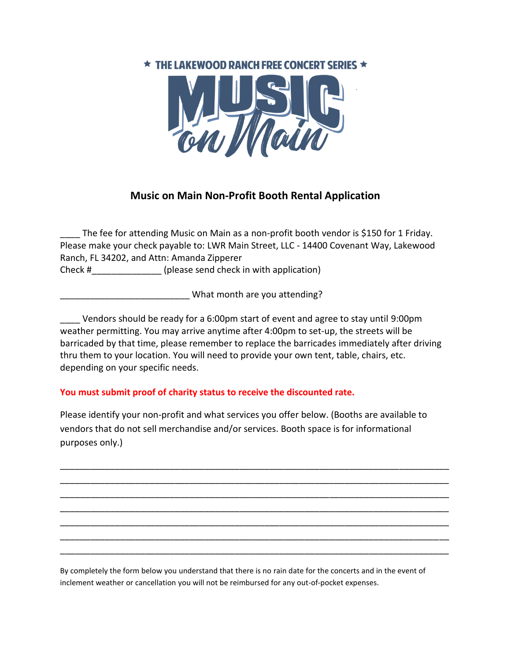## $\star$  THE LAKEWOOD RANCH FREE CONCERT SERIES  $\star$



## **Music on Main Non-Profit Booth Rental Application**

The fee for attending Music on Main as a non-profit booth vendor is \$150 for 1 Friday. Please make your check payable to: LWR Main Street, LLC - 14400 Covenant Way, Lakewood Ranch, FL 34202, and Attn: Amanda Zipperer

Check #  $(please send check in with application)$ 

\_\_\_\_\_\_\_\_\_\_\_\_\_\_\_\_\_\_\_\_\_\_\_\_\_\_ What month are you attending?

Vendors should be ready for a 6:00pm start of event and agree to stay until 9:00pm weather permitting. You may arrive anytime after 4:00pm to set-up, the streets will be barricaded by that time, please remember to replace the barricades immediately after driving thru them to your location. You will need to provide your own tent, table, chairs, etc. depending on your specific needs.

## **You must submit proof of charity status to receive the discounted rate.**

Please identify your non-profit and what services you offer below. (Booths are available to vendors that do not sell merchandise and/or services. Booth space is for informational purposes only.)

\_\_\_\_\_\_\_\_\_\_\_\_\_\_\_\_\_\_\_\_\_\_\_\_\_\_\_\_\_\_\_\_\_\_\_\_\_\_\_\_\_\_\_\_\_\_\_\_\_\_\_\_\_\_\_\_\_\_\_\_\_\_\_\_\_\_\_\_\_\_\_\_\_\_\_\_\_\_ \_\_\_\_\_\_\_\_\_\_\_\_\_\_\_\_\_\_\_\_\_\_\_\_\_\_\_\_\_\_\_\_\_\_\_\_\_\_\_\_\_\_\_\_\_\_\_\_\_\_\_\_\_\_\_\_\_\_\_\_\_\_\_\_\_\_\_\_\_\_\_\_\_\_\_\_\_\_ \_\_\_\_\_\_\_\_\_\_\_\_\_\_\_\_\_\_\_\_\_\_\_\_\_\_\_\_\_\_\_\_\_\_\_\_\_\_\_\_\_\_\_\_\_\_\_\_\_\_\_\_\_\_\_\_\_\_\_\_\_\_\_\_\_\_\_\_\_\_\_\_\_\_\_\_\_\_ \_\_\_\_\_\_\_\_\_\_\_\_\_\_\_\_\_\_\_\_\_\_\_\_\_\_\_\_\_\_\_\_\_\_\_\_\_\_\_\_\_\_\_\_\_\_\_\_\_\_\_\_\_\_\_\_\_\_\_\_\_\_\_\_\_\_\_\_\_\_\_\_\_\_\_\_\_\_ \_\_\_\_\_\_\_\_\_\_\_\_\_\_\_\_\_\_\_\_\_\_\_\_\_\_\_\_\_\_\_\_\_\_\_\_\_\_\_\_\_\_\_\_\_\_\_\_\_\_\_\_\_\_\_\_\_\_\_\_\_\_\_\_\_\_\_\_\_\_\_\_\_\_\_\_\_\_ \_\_\_\_\_\_\_\_\_\_\_\_\_\_\_\_\_\_\_\_\_\_\_\_\_\_\_\_\_\_\_\_\_\_\_\_\_\_\_\_\_\_\_\_\_\_\_\_\_\_\_\_\_\_\_\_\_\_\_\_\_\_\_\_\_\_\_\_\_\_\_\_\_\_\_\_\_\_ \_\_\_\_\_\_\_\_\_\_\_\_\_\_\_\_\_\_\_\_\_\_\_\_\_\_\_\_\_\_\_\_\_\_\_\_\_\_\_\_\_\_\_\_\_\_\_\_\_\_\_\_\_\_\_\_\_\_\_\_\_\_\_\_\_\_\_\_\_\_\_\_\_\_\_\_\_\_

By completely the form below you understand that there is no rain date for the concerts and in the event of inclement weather or cancellation you will not be reimbursed for any out-of-pocket expenses.